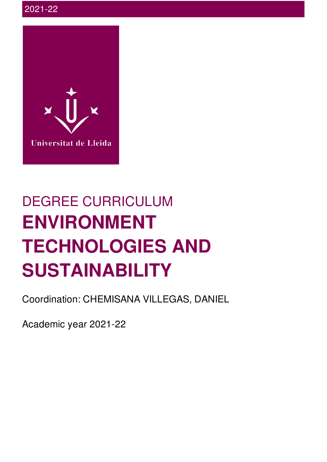

# DEGREE CURRICULUM **ENVIRONMENT TECHNOLOGIES AND SUSTAINABILITY**

Coordination: CHEMISANA VILLEGAS, DANIEL

Academic year 2021-22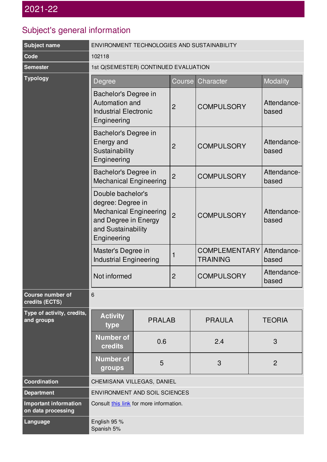## Subject's general information

| <b>Subject name</b>                                | ENVIRONMENT TECHNOLOGIES AND SUSTAINABILITY                                                                                          |               |                |                      |               |                      |  |
|----------------------------------------------------|--------------------------------------------------------------------------------------------------------------------------------------|---------------|----------------|----------------------|---------------|----------------------|--|
| Code                                               | 102118                                                                                                                               |               |                |                      |               |                      |  |
| <b>Semester</b>                                    | 1st Q(SEMESTER) CONTINUED EVALUATION                                                                                                 |               |                |                      |               |                      |  |
| <b>Typology</b>                                    | Degree                                                                                                                               |               | Course         | Character            |               | <b>Modality</b>      |  |
|                                                    | Bachelor's Degree in<br>Automation and<br><b>Industrial Electronic</b><br>Engineering                                                |               | 2              | <b>COMPULSORY</b>    |               | Attendance-<br>based |  |
|                                                    | Bachelor's Degree in<br>Energy and<br>Sustainability<br>Engineering                                                                  |               | $\overline{2}$ | <b>COMPULSORY</b>    |               | Attendance-<br>based |  |
|                                                    | Bachelor's Degree in<br><b>Mechanical Engineering</b>                                                                                |               | $\overline{2}$ | <b>COMPULSORY</b>    |               | Attendance-<br>based |  |
|                                                    | Double bachelor's<br>degree: Degree in<br><b>Mechanical Engineering</b><br>and Degree in Energy<br>and Sustainability<br>Engineering |               | $\overline{2}$ | <b>COMPULSORY</b>    |               | Attendance-<br>based |  |
|                                                    | Master's Degree in<br>1<br><b>Industrial Engineering</b><br><b>TRAINING</b><br><b>COMPULSORY</b><br>Not informed<br>$\overline{2}$   |               |                | <b>COMPLEMENTARY</b> |               | Attendance-<br>based |  |
|                                                    |                                                                                                                                      |               |                | Attendance-<br>based |               |                      |  |
| <b>Course number of</b><br>credits (ECTS)          | 6                                                                                                                                    |               |                |                      |               |                      |  |
| Type of activity, credits,<br>and groups           | <b>Activity</b><br>type                                                                                                              | <b>PRALAB</b> |                | <b>PRAULA</b>        | <b>TEORIA</b> |                      |  |
|                                                    | <b>Number of</b><br>credits                                                                                                          | 0.6           |                | 2.4                  |               |                      |  |
|                                                    | <b>Number of</b><br>groups                                                                                                           | 5             |                | 3                    |               | $\overline{2}$       |  |
| Coordination                                       | CHEMISANA VILLEGAS, DANIEL                                                                                                           |               |                |                      |               |                      |  |
| <b>Department</b>                                  | <b>ENVIRONMENT AND SOIL SCIENCES</b>                                                                                                 |               |                |                      |               |                      |  |
| <b>Important information</b><br>on data processing | Consult this link for more information.                                                                                              |               |                |                      |               |                      |  |
| Language                                           | English 95 %<br>Spanish 5%                                                                                                           |               |                |                      |               |                      |  |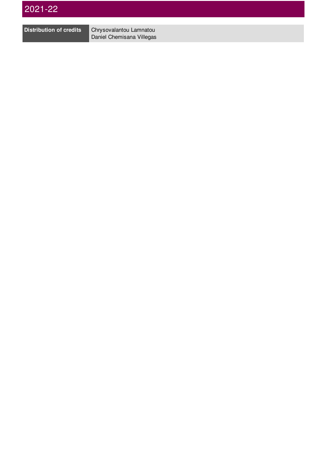

**Distribution of credits** Chrysovalantou Lamnatou Daniel Chemisana Villegas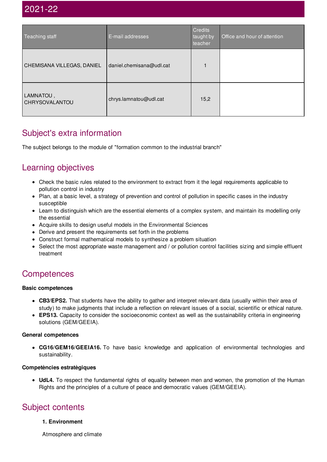| Teaching staff              | E-mail addresses         | Credits<br>taught by<br>teacher | Office and hour of attention |
|-----------------------------|--------------------------|---------------------------------|------------------------------|
| CHEMISANA VILLEGAS, DANIEL  | daniel.chemisana@udl.cat |                                 |                              |
| LAMNATOU,<br>CHRYSOVALANTOU | chrys.lamnatou@udl.cat   | 15,2                            |                              |

### Subject's extra information

The subject belongs to the module of "formation common to the industrial branch"

### Learning objectives

- Check the basic rules related to the environment to extract from it the legal requirements applicable to pollution control in industry
- Plan, at a basic level, a strategy of prevention and control of pollution in specific cases in the industry susceptible
- Learn to distinguish which are the essential elements of a complex system, and maintain its modelling only the essential
- Acquire skills to design useful models in the Environmental Sciences
- Derive and present the requirements set forth in the problems
- Construct formal mathematical models to synthesize a problem situation
- Select the most appropriate waste management and / or pollution control facilities sizing and simple effluent treatment

### **Competences**

#### **Basic competences**

- **CB3/EPS2.** That students have the ability to gather and interpret relevant data (usually within their area of study) to make judgments that include a reflection on relevant issues of a social, scientific or ethical nature.
- **EPS13.** Capacity to consider the socioeconomic context as well as the sustainability criteria in engineering solutions (GEM/GEEIA).

#### **General competences**

**CG16/GEM16/GEEIA16.** To have basic knowledge and application of environmental technologies and sustainability.

#### **Competències estratègiques**

**UdL4.** To respect the fundamental rights of equality between men and women, the promotion of the Human Rights and the principles of a culture of peace and democratic values (GEM/GEEIA).

### Subject contents

#### **1. Environment**

Atmosphere and climate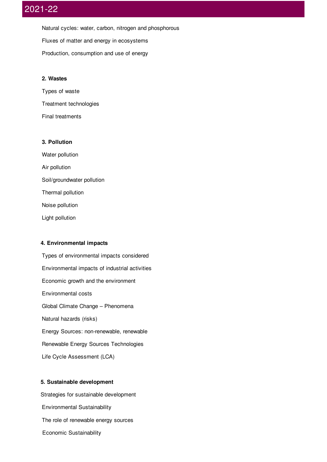Natural cycles: water, carbon, nitrogen and phosphorous Fluxes of matter and energy in ecosystems Production, consumption and use of energy

#### **2. Wastes**

Types of waste Treatment technologies Final treatments

#### **3. Pollution**

Water pollution Air pollution Soil/groundwater pollution Thermal pollution Noise pollution Light pollution

#### **4. Environmental impacts**

Types of environmental impacts considered Environmental impacts of industrial activities Economic growth and the environment Environmental costs Global Climate Change – Phenomena Natural hazards (risks) Energy Sources: non-renewable, renewable Renewable Energy Sources Technologies Life Cycle Assessment (LCA)

#### **5. Sustainable development**

Strategies for sustainable development Environmental Sustainability The role of renewable energy sources Economic Sustainability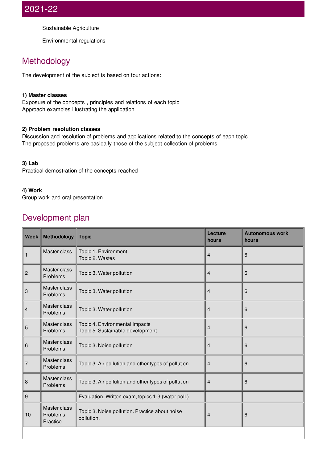Sustainable Agriculture

Environmental regulations

### Methodology

The development of the subject is based on four actions:

#### **1) Master classes**

Exposure of the concepts , principles and relations of each topic Approach examples illustrating the application

#### **2) Problem resolution classes**

Discussion and resolution of problems and applications related to the concepts of each topic The proposed problems are basically those of the subject collection of problems

#### **3) Lab**

Practical demostration of the concepts reached

#### **4) Work**

Group work and oral presentation

### Development plan

| <b>Week</b>    | <b>Methodology</b>                   | <b>Topic</b>                                                       | Lecture<br>hours        | <b>Autonomous work</b><br>hours |
|----------------|--------------------------------------|--------------------------------------------------------------------|-------------------------|---------------------------------|
| 1              | Master class                         | Topic 1. Environment<br>Topic 2. Wastes                            | 4                       | 6                               |
| $\overline{c}$ | Master class<br>Problems             | Topic 3. Water pollution                                           | 4                       | 6                               |
| 3              | Master class<br>Problems             | Topic 3. Water pollution                                           | 4                       | 6                               |
| 4              | Master class<br>Problems             | Topic 3. Water pollution                                           | 4                       | 6                               |
| 5              | Master class<br>Problems             | Topic 4. Environmental impacts<br>Topic 5. Sustainable development | $\overline{4}$          | 6                               |
| 6              | Master class<br>Problems             | Topic 3. Noise pollution                                           | $\overline{\mathbf{4}}$ | 6                               |
| 7              | Master class<br>Problems             | Topic 3. Air pollution and other types of pollution                | 4                       | 6                               |
| 8              | Master class<br>Problems             | Topic 3. Air pollution and other types of pollution                | 4                       | 6                               |
| 9              |                                      | Evaluation. Written exam, topics 1-3 (water poll.)                 |                         |                                 |
| 10             | Master class<br>Problems<br>Practice | Topic 3. Noise pollution. Practice about noise<br>pollution.       | 4                       | 6                               |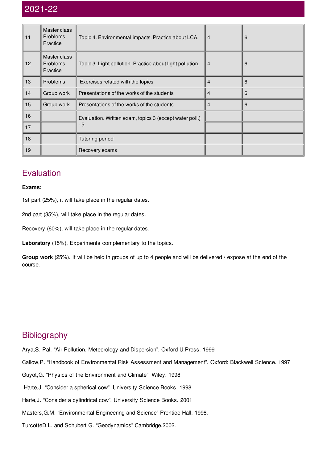| 11 | Master class<br>Problems<br>Practice | Topic 4. Environmental impacts. Practice about LCA.       | $\overline{4}$ | 6 |
|----|--------------------------------------|-----------------------------------------------------------|----------------|---|
| 12 | Master class<br>Problems<br>Practice | Topic 3. Light pollution. Practice about light pollution. | $\overline{4}$ | 6 |
| 13 | Problems                             | Exercises related with the topics                         | 4              | 6 |
| 14 | Group work                           | Presentations of the works of the students                | $\overline{4}$ | 6 |
| 15 | Group work                           | Presentations of the works of the students                | 4              | 6 |
| 16 |                                      | Evaluation. Written exam, topics 3 (except water poll.)   |                |   |
| 17 |                                      | - 5                                                       |                |   |
| 18 |                                      | Tutoring period                                           |                |   |
| 19 |                                      | Recovery exams                                            |                |   |

### **Evaluation**

#### **Exams:**

1st part (25%), it will take place in the regular dates.

2nd part (35%), will take place in the regular dates.

Recovery (60%), will take place in the regular dates.

**Laboratory** (15%), Experiments complementary to the topics.

**Group work** (25%). It will be held in groups of up to 4 people and will be delivered / expose at the end of the course.

### **Bibliography**

- Arya,S. Pal. "Air Pollution, Meteorology and Dispersion". Oxford U.Press. 1999
- Callow,P. "Handbook of Environmental Risk Assessment and Management". Oxford: Blackwell Science. 1997
- Guyot,G. "Physics of the Environment and Climate". Wiley. 1998
- Harte,J. "Consider a spherical cow". University Science Books. 1998
- Harte,J. "Consider a cylindrical cow". University Science Books. 2001
- Masters,G.M. "Environmental Engineering and Science" Prentice Hall. 1998.
- TurcotteD.L. and Schubert G. "Geodynamics" Cambridge.2002.